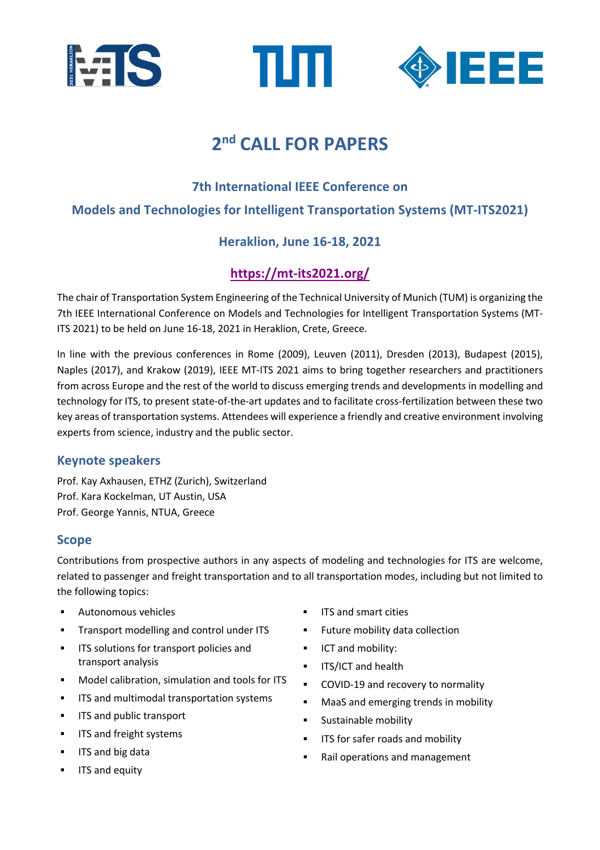





# **2nd CALL FOR PAPERS**

## **7th International IEEE Conference on**

## **Models and Technologies for Intelligent Transportation Systems (MT-ITS2021)**

# **Heraklion, June 16-18, 2021**

# **https://mt-its2021.org/**

The chair of Transportation System Engineering of the Technical University of Munich (TUM) is organizing the 7th IEEE International Conference on Models and Technologies for Intelligent Transportation Systems (MT-ITS 2021) to be held on June 16-18, 2021 in Heraklion, Crete, Greece.

In line with the previous conferences in Rome (2009), Leuven (2011), Dresden (2013), Budapest (2015), Naples (2017), and Krakow (2019), IEEE MT-ITS 2021 aims to bring together researchers and practitioners from across Europe and the rest of the world to discuss emerging trends and developments in modelling and technology for ITS, to present state-of-the-art updates and to facilitate cross-fertilization between these two key areas of transportation systems. Attendees will experience a friendly and creative environment involving experts from science, industry and the public sector.

## **Keynote speakers**

Prof. Kay Axhausen, ETHZ (Zurich), Switzerland Prof. Kara Kockelman, UT Austin, USA Prof. George Yannis, NTUA, Greece

## **Scope**

Contributions from prospective authors in any aspects of modeling and technologies for ITS are welcome, related to passenger and freight transportation and to all transportation modes, including but not limited to the following topics:

- § Autonomous vehicles
- **•** Transport modelling and control under ITS
- **ITS solutions for transport policies and** transport analysis
- Model calibration, simulation and tools for ITS
- **■** ITS and multimodal transportation systems
- **EXECUTE:** ITS and public transport
- **■** ITS and freight systems
- § ITS and big data
- ITS and equity
- § ITS and smart cities
- Future mobility data collection
- § ICT and mobility:
- **•** ITS/ICT and health
- COVID-19 and recovery to normality
- MaaS and emerging trends in mobility
- § Sustainable mobility
- **■** ITS for safer roads and mobility
- Rail operations and management